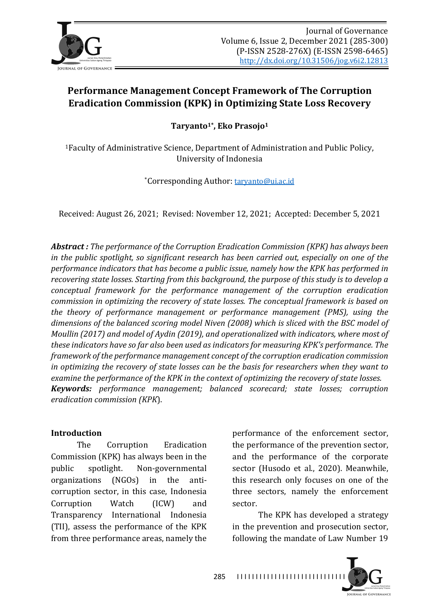

# **Performance Management Concept Framework of The Corruption Eradication Commission (KPK) in Optimizing State Loss Recovery**

Taryanto<sup>1\*</sup>, Eko Prasojo<sup>1</sup>

<sup>1</sup>Faculty of Administrative Science, Department of Administration and Public Policy, University of Indonesia

\*Corresponding Author: taryanto@ui.ac.id

Received: August 26, 2021; Revised: November 12, 2021; Accepted: December 5, 2021

**Abstract**: The performance of the Corruption Eradication Commission (KPK) has always been *in* the public spotlight, so significant research has been carried out, especially on one of the *performance indicators that has become a public issue, namely how the KPK has performed in* recovering state losses. Starting from this background, the purpose of this study is to develop a *conceptual framework for the performance management of the corruption eradication commission in optimizing the recovery of state losses. The conceptual framework is based on the theory of performance management or performance management (PMS), using the* dimensions of the balanced scoring model Niven (2008) which is sliced with the BSC model of *Moullin* (2017) and model of Aydin (2019), and operationalized with indicators, where most of these indicators have so far also been used as indicators for measuring KPK's performance. The *framework of the performance management concept of the corruption eradication commission in* optimizing the recovery of state losses can be the basis for researchers when they want to *examine the performance of the KPK in the context of optimizing the recovery of state losses. Keywords: performance management; balanced scorecard; state losses; corruption eradication commission (KPK*).

#### **Introduction**

The Corruption Eradication Commission (KPK) has always been in the public spotlight. Non-governmental organizations (NGOs) in the anticorruption sector, in this case, Indonesia Corruption Watch (ICW) and Transparency International Indonesia (TII), assess the performance of the KPK from three performance areas, namely the

performance of the enforcement sector, the performance of the prevention sector, and the performance of the corporate sector (Husodo et al., 2020). Meanwhile, this research only focuses on one of the three sectors, namely the enforcement sector.

The KPK has developed a strategy in the prevention and prosecution sector, following the mandate of Law Number 19

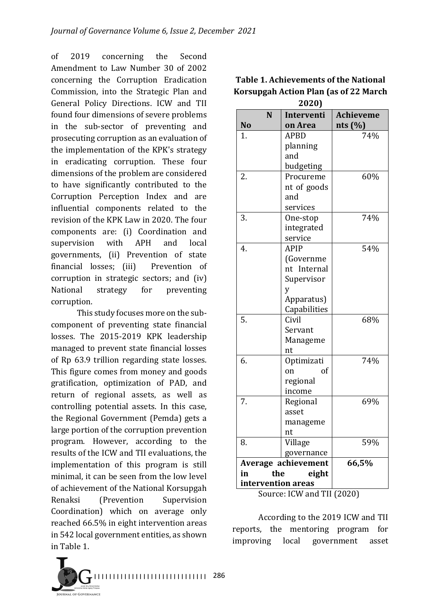of 2019 concerning the Second Amendment to Law Number 30 of 2002 concerning the Corruption Eradication Commission, into the Strategic Plan and General Policy Directions. ICW and TII found four dimensions of severe problems in the sub-sector of preventing and prosecuting corruption as an evaluation of the implementation of the KPK's strategy in eradicating corruption. These four dimensions of the problem are considered to have significantly contributed to the Corruption Perception Index and are influential components related to the revision of the KPK Law in 2020. The four components are: (i) Coordination and supervision with APH and local governments, (ii) Prevention of state financial losses; (iii) Prevention of corruption in strategic sectors; and  $(iv)$ National strategy for preventing corruption.

This study focuses more on the subcomponent of preventing state financial losses. The 2015-2019 KPK leadership managed to prevent state financial losses of Rp 63.9 trillion regarding state losses. This figure comes from money and goods gratification, optimization of PAD, and return of regional assets, as well as controlling potential assets. In this case, the Regional Government (Pemda) gets a large portion of the corruption prevention program. However, according to the results of the ICW and TII evaluations, the implementation of this program is still minimal, it can be seen from the low level of achievement of the National Korsupgah Renaksi (Prevention Supervision Coordination) which on average only reached 66.5% in eight intervention areas in 542 local government entities, as shown in Table 1.

286 I I I I I I I I I I I I I I I I I I I I I I I I I I I I I I **TRNAL OF GOVERNANCE** 

| N                  | Interventi          | <b>Achieveme</b> |
|--------------------|---------------------|------------------|
| No                 | on Area             | nts $(\%)$       |
| 1.                 | <b>APBD</b>         | 74%              |
|                    | planning            |                  |
|                    | and                 |                  |
|                    | budgeting           |                  |
| 2.                 | Procureme           | 60%              |
|                    | nt of goods         |                  |
|                    | and                 |                  |
|                    | services            |                  |
| 3.                 | One-stop            | 74%              |
|                    | integrated          |                  |
|                    | service             |                  |
| 4.                 | <b>APIP</b>         | 54%              |
|                    | (Governme           |                  |
|                    | nt Internal         |                  |
|                    | Supervisor          |                  |
|                    | y                   |                  |
|                    | Apparatus)          |                  |
|                    | Capabilities        |                  |
| 5.                 | Civil               | 68%              |
|                    | Servant             |                  |
|                    | Manageme            |                  |
|                    | nt                  |                  |
| 6.                 | Optimizati          | 74%              |
|                    | of<br>on            |                  |
|                    | regional            |                  |
|                    | income              |                  |
| 7.                 | Regional            | 69%              |
|                    | asset               |                  |
|                    | manageme            |                  |
|                    | nt                  |                  |
| 8.                 | Village             | 59%              |
|                    | governance          | 66,5%            |
|                    | Average achievement |                  |
| the<br>in          | eight               |                  |
| intervention areas |                     |                  |

**Table 1. Achievements of the National Korsupgah Action Plan (as of 22 March**) **2020)**

Source: ICW and TII (2020)

According to the 2019 ICW and TII reports, the mentoring program for improving local government asset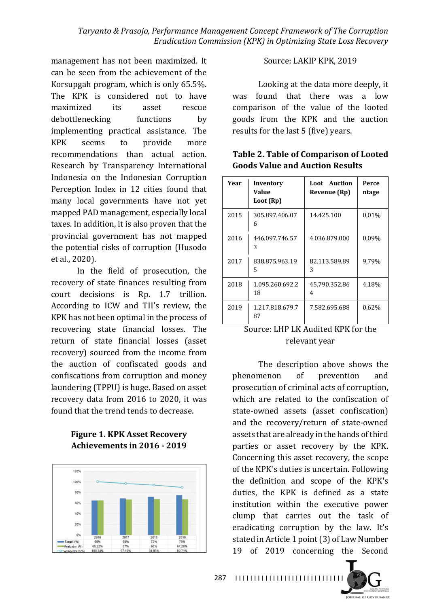management has not been maximized. It can be seen from the achievement of the Korsupgah program, which is only  $65.5\%$ . The KPK is considered not to have maximized its asset rescue debottlenecking functions by implementing practical assistance. The KPK seems to provide more recommendations than actual action. Research by Transparency International Indonesia on the Indonesian Corruption Perception Index in 12 cities found that many local governments have not yet mapped PAD management, especially local taxes. In addition, it is also proven that the provincial government has not mapped the potential risks of corruption (Husodo et al., 2020).

In the field of prosecution, the recovery of state finances resulting from court decisions is Rp. 1.7 trillion. According to ICW and TII's review, the KPK has not been optimal in the process of recovering state financial losses. The return of state financial losses (asset recovery) sourced from the income from the auction of confiscated goods and confiscations from corruption and money laundering (TPPU) is huge. Based on asset recovery data from 2016 to 2020, it was found that the trend tends to decrease.

#### **Figure 1. KPK Asset Recovery Achievements in 2016 - 2019**



### Source: LAKIP KPK, 2019

Looking at the data more deeply, it was found that there was a low comparison of the value of the looted goods from the KPK and the auction results for the last 5 (five) vears.

| Year | Inventory<br>Value<br>Loot (Rp) | <b>Loot</b> Auction<br>Revenue (Rp) | Perce<br>ntage |
|------|---------------------------------|-------------------------------------|----------------|
| 2015 | 305.897.406.07<br>6             | 14.425.100                          | 0,01%          |
| 2016 | 446.097.746.57<br>3             | 4.036.879.000                       | 0,09%          |
| 2017 | 838.875.963.19<br>5             | 82.113.589.89<br>3                  | 9,79%          |
| 2018 | 1.095.260.692.2<br>18           | 45.790.352.86<br>4                  | 4,18%          |
| 2019 | 1.217.818.679.7<br>87           | 7.582.695.688                       | 0,62%          |

## Table 2. Table of Comparison of Looted **Goods Value and Auction Results**

## Source: LHP LK Audited KPK for the relevant year

The description above shows the phenomenon of prevention and prosecution of criminal acts of corruption, which are related to the confiscation of state-owned assets (asset confiscation) and the recovery/return of state-owned assets that are already in the hands of third parties or asset recovery by the KPK. Concerning this asset recovery, the scope of the KPK's duties is uncertain. Following the definition and scope of the KPK's duties, the KPK is defined as a state institution within the executive power clump that carries out the task of eradicating corruption by the law. It's stated in Article 1 point (3) of Law Number 19 of 2019 concerning the Second 

JOURNAL OF GOVERNANCE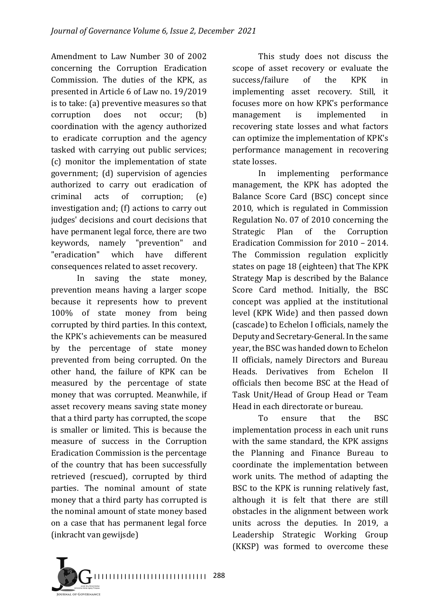Amendment to Law Number 30 of 2002 concerning the Corruption Eradication Commission. The duties of the KPK, as presented in Article 6 of Law no. 19/2019 is to take: (a) preventive measures so that corruption does not occur; (b) coordination with the agency authorized to eradicate corruption and the agency tasked with carrying out public services; (c) monitor the implementation of state government; (d) supervision of agencies authorized to carry out eradication of criminal acts of corruption; (e) investigation and;  $(f)$  actions to carry out judges' decisions and court decisions that have permanent legal force, there are two keywords, namely "prevention" and "eradication" which have different consequences related to asset recovery.

In saving the state money, prevention means having a larger scope because it represents how to prevent 100% of state money from being corrupted by third parties. In this context, the KPK's achievements can be measured by the percentage of state money prevented from being corrupted. On the other hand, the failure of KPK can be measured by the percentage of state money that was corrupted. Meanwhile, if asset recovery means saving state money that a third party has corrupted, the scope is smaller or limited. This is because the measure of success in the Corruption Eradication Commission is the percentage of the country that has been successfully retrieved (rescued), corrupted by third parties. The nominal amount of state money that a third party has corrupted is the nominal amount of state money based on a case that has permanent legal force (inkracht van gewijsde)

This study does not discuss the scope of asset recovery or evaluate the success/failure of the KPK in implementing asset recovery. Still, it focuses more on how KPK's performance management is implemented in recovering state losses and what factors can optimize the implementation of KPK's performance management in recovering state losses.

In implementing performance management, the KPK has adopted the Balance Score Card (BSC) concept since 2010, which is regulated in Commission Regulation No. 07 of 2010 concerning the Strategic Plan of the Corruption Eradication Commission for 2010 – 2014. The Commission regulation explicitly states on page 18 (eighteen) that The KPK Strategy Map is described by the Balance Score Card method. Initially, the BSC concept was applied at the institutional level (KPK Wide) and then passed down (cascade) to Echelon I officials, namely the Deputy and Secretary-General. In the same year, the BSC was handed down to Echelon II officials, namely Directors and Bureau Heads. Derivatives from Echelon II officials then become BSC at the Head of Task Unit/Head of Group Head or Team Head in each directorate or bureau.

To ensure that the BSC implementation process in each unit runs with the same standard, the KPK assigns the Planning and Finance Bureau to coordinate the implementation between work units. The method of adapting the BSC to the KPK is running relatively fast, although it is felt that there are still obstacles in the alignment between work units across the deputies. In 2019, a Leadership Strategic Working Group (KKSP) was formed to overcome these

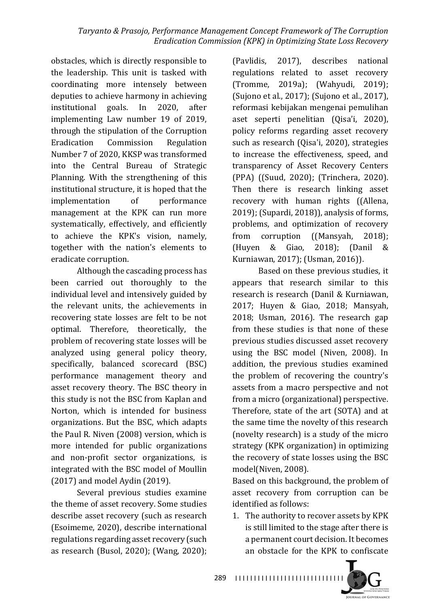obstacles, which is directly responsible to the leadership. This unit is tasked with coordinating more intensely between deputies to achieve harmony in achieving institutional goals. In 2020, after implementing Law number 19 of 2019, through the stipulation of the Corruption Eradication Commission Regulation Number 7 of 2020, KKSP was transformed into the Central Bureau of Strategic Planning. With the strengthening of this institutional structure, it is hoped that the implementation of performance management at the KPK can run more systematically, effectively, and efficiently to achieve the KPK's vision, namely, together with the nation's elements to eradicate corruption.

Although the cascading process has been carried out thoroughly to the individual level and intensively guided by the relevant units, the achievements in recovering state losses are felt to be not optimal. Therefore, theoretically, the problem of recovering state losses will be analyzed using general policy theory, specifically, balanced scorecard (BSC) performance management theory and asset recovery theory. The BSC theory in this study is not the BSC from Kaplan and Norton, which is intended for business organizations. But the BSC, which adapts the Paul R. Niven (2008) version, which is more intended for public organizations and non-profit sector organizations, is integrated with the BSC model of Moullin  $(2017)$  and model Aydin  $(2019)$ .

Several previous studies examine the theme of asset recovery. Some studies describe asset recovery (such as research (Esoimeme, 2020), describe international regulations regarding asset recovery (such as research (Busol, 2020); (Wang, 2020);

(Pavlidis, 2017), describes national regulations related to asset recovery (Tromme, 2019a); (Wahyudi, 2019); (Sujono et al., 2017); (Sujono et al., 2017), reformasi kebijakan mengenai pemulihan aset seperti penelitian (Oisa'i, 2020), policy reforms regarding asset recovery such as research (Qisa'i, 2020), strategies to increase the effectiveness, speed, and transparency of Asset Recovery Centers (PPA) ((Suud, 2020); (Trinchera, 2020). Then there is research linking asset recovery with human rights ((Allena,  $2019$ ; (Supardi,  $2018$ )), analysis of forms, problems, and optimization of recovery from corruption ((Mansyah, 2018); (Huyen & Giao, 2018); (Danil & Kurniawan, 2017); (Usman, 2016)).

Based on these previous studies, it appears that research similar to this research is research (Danil & Kurniawan, 2017; Huyen & Giao, 2018; Mansyah,  $2018$ ; Usman,  $2016$ ). The research gap from these studies is that none of these previous studies discussed asset recovery using the BSC model (Niven, 2008). In addition, the previous studies examined the problem of recovering the country's assets from a macro perspective and not from a micro (organizational) perspective. Therefore, state of the art (SOTA) and at the same time the novelty of this research (novelty research) is a study of the micro strategy (KPK organization) in optimizing the recovery of state losses using the BSC model(Niven, 2008).

Based on this background, the problem of asset recovery from corruption can be identified as follows:

1. The authority to recover assets by KPK is still limited to the stage after there is a permanent court decision. It becomes an obstacle for the KPK to confiscate

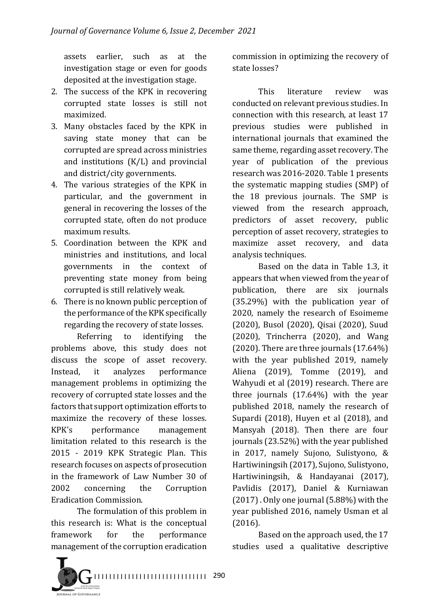assets earlier, such as at the investigation stage or even for goods deposited at the investigation stage.

- 2. The success of the KPK in recovering corrupted state losses is still not maximized.
- 3. Many obstacles faced by the KPK in saving state money that can be corrupted are spread across ministries and institutions  $(K/L)$  and provincial and district/city governments.
- 4. The various strategies of the KPK in particular, and the government in general in recovering the losses of the corrupted state, often do not produce maximum results.
- 5. Coordination between the KPK and ministries and institutions, and local governments in the context of preventing state money from being corrupted is still relatively weak.
- 6. There is no known public perception of the performance of the KPK specifically regarding the recovery of state losses.

Referring to identifying the problems above, this study does not discuss the scope of asset recovery. Instead, it analyzes performance management problems in optimizing the recovery of corrupted state losses and the factors that support optimization efforts to maximize the recovery of these losses. KPK's performance management limitation related to this research is the 2015 - 2019 KPK Strategic Plan. This research focuses on aspects of prosecution in the framework of Law Number 30 of 2002 concerning the Corruption Eradication Commission.

The formulation of this problem in this research is: What is the conceptual framework for the performance management of the corruption eradication



This literature review was conducted on relevant previous studies. In connection with this research, at least 17 previous studies were published in international journals that examined the same theme, regarding asset recovery. The year of publication of the previous research was 2016-2020. Table 1 presents the systematic mapping studies (SMP) of the 18 previous journals. The SMP is viewed from the research approach, predictors of asset recovery, public perception of asset recovery, strategies to maximize asset recovery, and data analysis techniques.

Based on the data in Table 1.3, it appears that when viewed from the year of publication, there are six journals  $(35.29%)$  with the publication year of 2020, namely the research of Esoimeme (2020), Busol (2020), Qisai (2020), Suud  $(2020)$ , Trincherra  $(2020)$ , and Wang  $(2020)$ . There are three journals  $(17.64%)$ with the year published 2019, namely Aliena (2019), Tomme (2019), and Wahyudi et al (2019) research. There are three journals  $(17.64%)$  with the year published 2018, namely the research of Supardi  $(2018)$ , Huyen et al  $(2018)$ , and Mansyah (2018). Then there are four journals (23.52%) with the year published in 2017, namely Sujono, Sulistyono, & Hartiwiningsih (2017), Sujono, Sulistyono, Hartiwiningsih, & Handayanai (2017), Pavlidis (2017), Daniel & Kurniawan  $(2017)$ . Only one journal  $(5.88%)$  with the year published 2016, namely Usman et al (2016).

Based on the approach used, the 17 studies used a qualitative descriptive

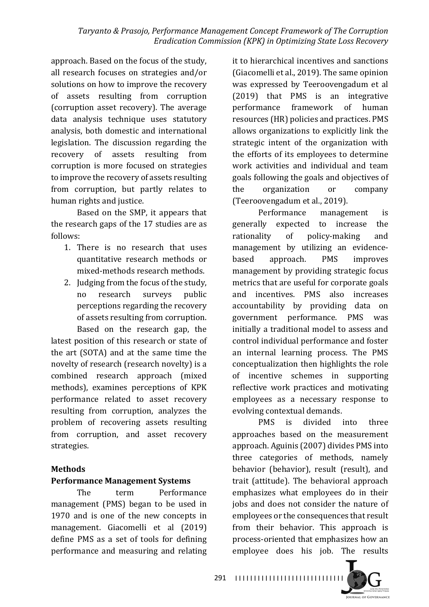approach. Based on the focus of the study, all research focuses on strategies and/or solutions on how to improve the recovery of assets resulting from corruption (corruption asset recovery). The average data analysis technique uses statutory analysis, both domestic and international legislation. The discussion regarding the recovery of assets resulting from corruption is more focused on strategies to improve the recovery of assets resulting from corruption, but partly relates to human rights and justice.

Based on the SMP, it appears that the research gaps of the 17 studies are as follows:

- 1. There is no research that uses quantitative research methods or mixed-methods research methods.
- 2. Judging from the focus of the study, no research surveys public perceptions regarding the recovery of assets resulting from corruption. Based on the research gap, the

latest position of this research or state of the  $art$  (SOTA) and at the same time the novelty of research (research novelty) is a combined research approach (mixed methods), examines perceptions of KPK performance related to asset recovery resulting from corruption, analyzes the problem of recovering assets resulting from corruption, and asset recovery strategies.

### **Methods**

### **Performance Management Systems**

The term Performance management (PMS) began to be used in 1970 and is one of the new concepts in management. Giacomelli et al (2019) define PMS as a set of tools for defining performance and measuring and relating it to hierarchical incentives and sanctions (Giacomelli et al., 2019). The same opinion was expressed by Teeroovengadum et al (2019) that PMS is an integrative performance framework of human resources (HR) policies and practices. PMS allows organizations to explicitly link the strategic intent of the organization with the efforts of its employees to determine work activities and individual and team goals following the goals and objectives of the organization or company (Teeroovengadum et al., 2019).

Performance management is generally expected to increase the rationality of policy-making and management by utilizing an evidencebased approach. PMS improves management by providing strategic focus metrics that are useful for corporate goals and incentives. PMS also increases accountability by providing data on government performance. PMS was initially a traditional model to assess and control individual performance and foster an internal learning process. The PMS conceptualization then highlights the role of incentive schemes in supporting reflective work practices and motivating employees as a necessary response to evolving contextual demands.

PMS is divided into three approaches based on the measurement approach. Aguinis (2007) divides PMS into three categories of methods, namely behavior (behavior), result (result), and trait (attitude). The behavioral approach emphasizes what employees do in their jobs and does not consider the nature of employees or the consequences that result from their behavior. This approach is process-oriented that emphasizes how an employee does his job. The results

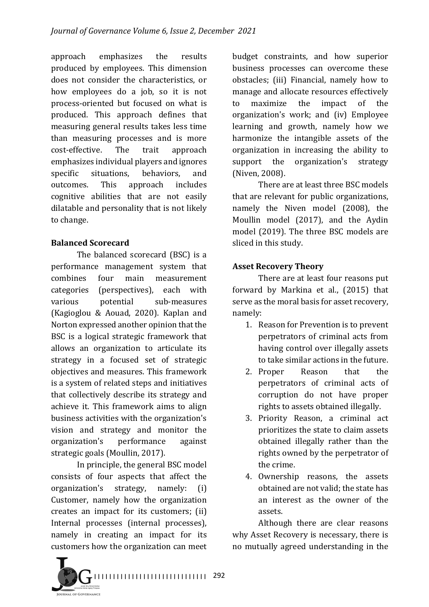approach emphasizes the results produced by employees. This dimension does not consider the characteristics, or how employees do a job, so it is not process-oriented but focused on what is produced. This approach defines that measuring general results takes less time than measuring processes and is more cost-effective. The trait approach emphasizes individual players and ignores specific situations, behaviors, and outcomes. This approach includes cognitive abilities that are not easily dilatable and personality that is not likely to change.

### **Balanced Scorecard**

The balanced scorecard (BSC) is a performance management system that combines four main measurement categories (perspectives), each with various potential sub-measures (Kagioglou & Aouad, 2020). Kaplan and Norton expressed another opinion that the BSC is a logical strategic framework that allows an organization to articulate its strategy in a focused set of strategic objectives and measures. This framework is a system of related steps and initiatives that collectively describe its strategy and achieve it. This framework aims to align business activities with the organization's vision and strategy and monitor the organization's performance against strategic goals (Moullin, 2017).

In principle, the general BSC model consists of four aspects that affect the organization's strategy, namely: (i) Customer, namely how the organization creates an impact for its customers; (ii) Internal processes (internal processes), namely in creating an impact for its customers how the organization can meet

budget constraints, and how superior business processes can overcome these obstacles; (iii) Financial, namely how to manage and allocate resources effectively to maximize the impact of the organization's work; and (iv) Employee learning and growth, namely how we harmonize the intangible assets of the organization in increasing the ability to support the organization's strategy (Niven, 2008).

There are at least three BSC models that are relevant for public organizations, namely the Niven model (2008), the Moullin model (2017), and the Aydin model (2019). The three BSC models are sliced in this study.

## **Asset Recovery Theory**

There are at least four reasons put forward by Markina et al., (2015) that serve as the moral basis for asset recovery, namely:

- 1. Reason for Prevention is to prevent perpetrators of criminal acts from having control over illegally assets to take similar actions in the future.
- 2. Proper Reason that the perpetrators of criminal acts of corruption do not have proper rights to assets obtained illegally.
- 3. Priority Reason, a criminal act prioritizes the state to claim assets obtained illegally rather than the rights owned by the perpetrator of the crime.
- 4. Ownership reasons, the assets obtained are not valid; the state has an interest as the owner of the assets.

Although there are clear reasons why Asset Recovery is necessary, there is no mutually agreed understanding in the

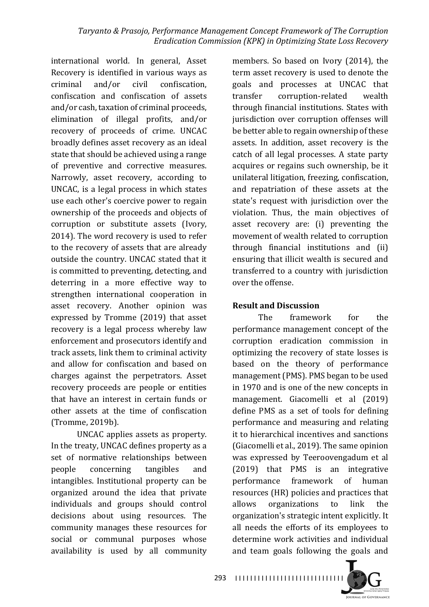international world. In general, Asset Recovery is identified in various ways as criminal and/or civil confiscation, confiscation and confiscation of assets and/or cash, taxation of criminal proceeds. elimination of illegal profits, and/or recovery of proceeds of crime. UNCAC broadly defines asset recovery as an ideal state that should be achieved using a range of preventive and corrective measures. Narrowly, asset recovery, according to UNCAC, is a legal process in which states use each other's coercive power to regain ownership of the proceeds and objects of corruption or substitute assets (Ivory, 2014). The word recovery is used to refer to the recovery of assets that are already outside the country. UNCAC stated that it is committed to preventing, detecting, and deterring in a more effective way to strengthen international cooperation in asset recovery. Another opinion was expressed by Tromme (2019) that asset recovery is a legal process whereby law enforcement and prosecutors identify and track assets, link them to criminal activity and allow for confiscation and based on charges against the perpetrators. Asset recovery proceeds are people or entities that have an interest in certain funds or other assets at the time of confiscation (Tromme, 2019b). 

UNCAC applies assets as property. In the treaty, UNCAC defines property as a set of normative relationships between people concerning tangibles and intangibles. Institutional property can be organized around the idea that private individuals and groups should control decisions about using resources. The community manages these resources for social or communal purposes whose availability is used by all community

members. So based on Ivory (2014), the term asset recovery is used to denote the goals and processes at UNCAC that transfer corruption-related wealth through financial institutions. States with jurisdiction over corruption offenses will be better able to regain ownership of these assets. In addition, asset recovery is the catch of all legal processes. A state party acquires or regains such ownership, be it unilateral litigation, freezing, confiscation, and repatriation of these assets at the state's request with jurisdiction over the violation. Thus, the main objectives of asset recovery are: (i) preventing the movement of wealth related to corruption through financial institutions and (ii) ensuring that illicit wealth is secured and transferred to a country with jurisdiction over the offense.

#### **Result and Discussion**

The framework for the performance management concept of the corruption eradication commission in optimizing the recovery of state losses is based on the theory of performance management (PMS). PMS began to be used in 1970 and is one of the new concepts in management. Giacomelli et al (2019) define PMS as a set of tools for defining performance and measuring and relating it to hierarchical incentives and sanctions (Giacomelli et al., 2019). The same opinion was expressed by Teeroovengadum et al (2019) that PMS is an integrative performance framework of human resources (HR) policies and practices that allows organizations to link the organization's strategic intent explicitly. It all needs the efforts of its employees to determine work activities and individual and team goals following the goals and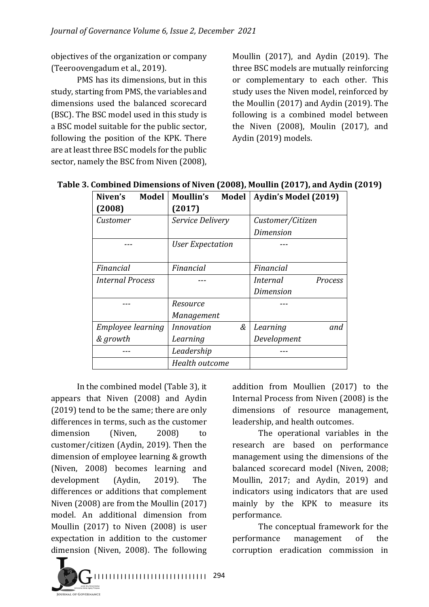objectives of the organization or company (Teeroovengadum et al., 2019).

PMS has its dimensions, but in this study, starting from PMS, the variables and dimensions used the balanced scorecard (BSC). The BSC model used in this study is a BSC model suitable for the public sector, following the position of the KPK. There are at least three BSC models for the public sector, namely the BSC from Niven (2008),

Moullin  $(2017)$ , and Aydin  $(2019)$ . The three BSC models are mutually reinforcing or complementary to each other. This study uses the Niven model, reinforced by the Moullin  $(2017)$  and Aydin  $(2019)$ . The following is a combined model between the Niven  $(2008)$ , Moulin  $(2017)$ , and Aydin (2019) models.

| <b>Model</b><br>Niven's | Moullin's<br>Model     | Aydin's Model (2019)       |  |
|-------------------------|------------------------|----------------------------|--|
| (2008)                  | (2017)                 |                            |  |
| Customer                | Service Delivery       | Customer/Citizen           |  |
|                         |                        | Dimension                  |  |
|                         | User Expectation       |                            |  |
|                         |                        |                            |  |
| Financial               | Financial              | Financial                  |  |
| <b>Internal Process</b> |                        | <i>Internal</i><br>Process |  |
|                         |                        | <b>Dimension</b>           |  |
|                         | Resource               |                            |  |
|                         | Management             |                            |  |
| Employee learning       | &<br><b>Innovation</b> | Learning<br>and            |  |
| & growth                | Learning               | Development                |  |
|                         | Leadership             |                            |  |
|                         | Health outcome         |                            |  |

**Table 3. Combined Dimensions of Niven (2008), Moullin (2017), and Aydin (2019)** 

In the combined model (Table 3), it appears that Niven (2008) and Aydin  $(2019)$  tend to be the same; there are only differences in terms, such as the customer dimension (Niven, 2008) to customer/citizen (Aydin, 2019). Then the dimension of employee learning & growth (Niven, 2008) becomes learning and development (Aydin, 2019). The differences or additions that complement Niven  $(2008)$  are from the Moullin  $(2017)$ model. An additional dimension from Moullin  $(2017)$  to Niven  $(2008)$  is user expectation in addition to the customer dimension (Niven, 2008). The following

I I I I I I I I I I I I I I I I I I I I I I I I I I I I I I 294 **TRNAL OF GOVERNANCE** 

addition from Moullien (2017) to the Internal Process from Niven (2008) is the dimensions of resource management, leadership, and health outcomes.

The operational variables in the research are based on performance management using the dimensions of the balanced scorecard model (Niven, 2008; Moullin, 2017; and Aydin, 2019) and indicators using indicators that are used mainly by the KPK to measure its performance. 

The conceptual framework for the performance management of the corruption eradication commission in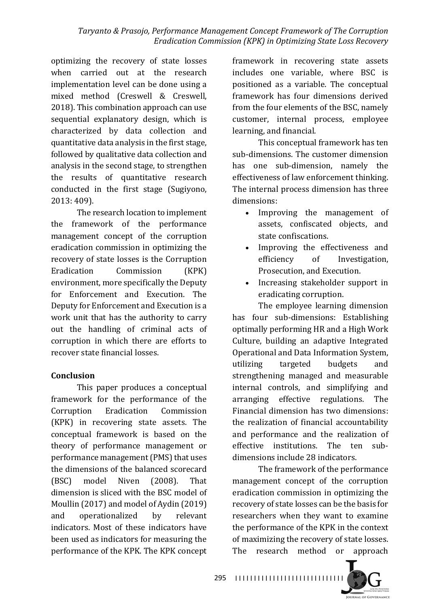optimizing the recovery of state losses when carried out at the research implementation level can be done using a mixed method (Creswell & Creswell, 2018). This combination approach can use sequential explanatory design, which is characterized by data collection and quantitative data analysis in the first stage, followed by qualitative data collection and analysis in the second stage, to strengthen the results of quantitative research conducted in the first stage (Sugiyono, 2013: 409).

The research location to implement the framework of the performance management concept of the corruption eradication commission in optimizing the recovery of state losses is the Corruption Eradication Commission (KPK) environment, more specifically the Deputy for Enforcement and Execution. The Deputy for Enforcement and Execution is a work unit that has the authority to carry out the handling of criminal acts of corruption in which there are efforts to recover state financial losses

### **Conclusion**

This paper produces a conceptual framework for the performance of the Corruption Eradication Commission (KPK) in recovering state assets. The conceptual framework is based on the theory of performance management or performance management (PMS) that uses the dimensions of the balanced scorecard (BSC) model Niven (2008). That dimension is sliced with the BSC model of Moullin (2017) and model of Aydin (2019) and operationalized by relevant indicators. Most of these indicators have been used as indicators for measuring the performance of the KPK. The KPK concept

framework in recovering state assets includes one variable, where BSC is positioned as a variable. The conceptual framework has four dimensions derived from the four elements of the BSC, namely customer, internal process, employee learning, and financial.

This conceptual framework has ten sub-dimensions. The customer dimension has one sub-dimension, namely the effectiveness of law enforcement thinking. The internal process dimension has three dimensions:

- Improving the management of assets, confiscated objects, and state confiscations.
- Improving the effectiveness and efficiency of Investigation, Prosecution, and Execution.
- Increasing stakeholder support in eradicating corruption.

The employee learning dimension has four sub-dimensions: Establishing optimally performing HR and a High Work Culture, building an adaptive Integrated Operational and Data Information System. utilizing targeted budgets and strengthening managed and measurable internal controls, and simplifying and arranging effective regulations. The Financial dimension has two dimensions: the realization of financial accountability and performance and the realization of effective institutions. The ten subdimensions include 28 indicators.

The framework of the performance management concept of the corruption eradication commission in optimizing the recovery of state losses can be the basis for researchers when they want to examine the performance of the KPK in the context of maximizing the recovery of state losses. The research method or approach

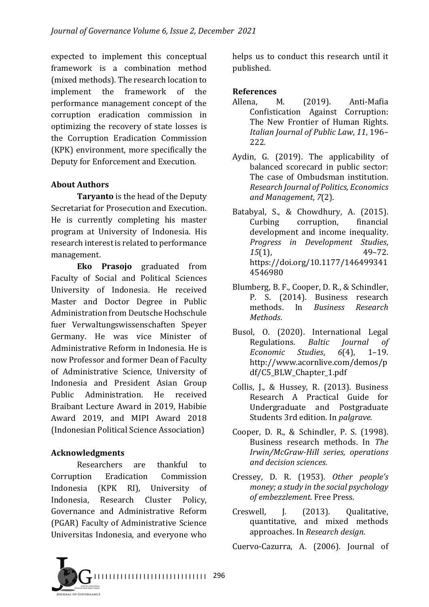expected to implement this conceptual framework is a combination method (mixed methods). The research location to implement the framework of the performance management concept of the corruption eradication commission in optimizing the recovery of state losses is the Corruption Eradication Commission (KPK) environment, more specifically the Deputy for Enforcement and Execution.

## **About Authors**

**Taryanto** is the head of the Deputy Secretariat for Prosecution and Execution. He is currently completing his master program at University of Indonesia. His research interest is related to performance management.

**Eko Prasojo** graduated from Faculty of Social and Political Sciences University of Indonesia. He received Master and Doctor Degree in Public Administration from Deutsche Hochschule fuer Verwaltungswissenschaften Speyer Germany. He was vice Minister of Administrative Reform in Indonesia. He is now Professor and former Dean of Faculty of Administrative Science, University of Indonesia and President Asian Group Public Administration. He received Braibant Lecture Award in 2019, Habibie Award 2019, and MIPI Award 2018 (Indonesian Political Science Association)

### **Acknowledgments**

Researchers are thankful to Corruption Eradication Commission Indonesia (KPK RI), University of Indonesia, Research Cluster Policy, Governance and Administrative Reform (PGAR) Faculty of Administrative Science Universitas Indonesia, and everyone who helps us to conduct this research until it published. 

## **References**

- Allena, M. (2019). Anti-Mafia Confistication Against Corruption: The New Frontier of Human Rights. *Italian Journal of Public Law*, *11*, 196– 222.
- Aydin, G. (2019). The applicability of balanced scorecard in public sector: The case of Ombudsman institution. *Research Journal of Politics, Economics and Management*, *7*(2).
- Batabyal, S., & Chowdhury, A. (2015). Curbing corruption, financial development and income inequality. *Progress in Development Studies*, *15*(1), 49–72. https://doi.org/10.1177/146499341 4546980
- Blumberg, B. F., Cooper, D. R., & Schindler, P. S. (2014). Business research methods. In *Business Research Methods*.
- Busol, O. (2020). International Legal Regulations. *Baltic Journal of Economic Studies*, *6*(4), 1–19. http://www.acornlive.com/demos/p df/C5\_BLW\_Chapter\_1.pdf
- Collis, J., & Hussey, R. (2013). Business Research A Practical Guide for Undergraduate and Postgraduate Students 3rd edition. In *palgrave*.
- Cooper, D. R., & Schindler, P. S. (1998). Business research methods. In *The Irwin/McGraw-Hill series, operations and decision sciences*.
- Cressey, D. R. (1953). *Other people's money; a study in the social psychology of embezzlement.* Free Press.
- Creswell, J. (2013). Qualitative, quantitative, and mixed methods approaches. In *Research design*.

Cuervo-Cazurra, A. (2006). Journal of

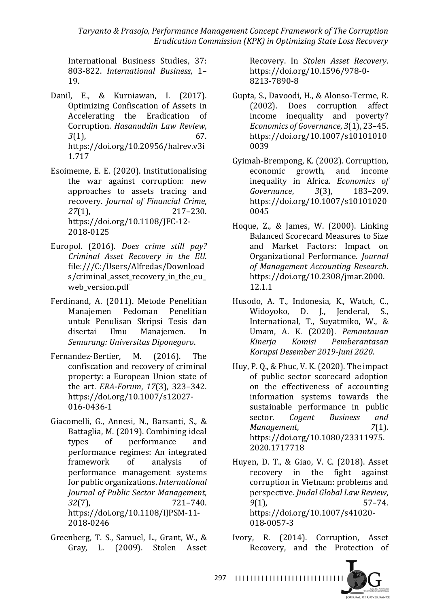*Taryanto & Prasojo, Performance Management Concept Framework of The Corruption Eradication Commission (KPK) in Optimizing State Loss Recovery*

International Business Studies, 37: 803-822. *International Business*, 1– 19.

- Danil, E., & Kurniawan, I. (2017). Optimizing Confiscation of Assets in Accelerating the Eradication of Corruption. *Hasanuddin Law Review*, *3*(1), 67. https://doi.org/10.20956/halrev.v3i 1.717
- Esoimeme, E. E. (2020). Institutionalising the war against corruption: new approaches to assets tracing and recovery. *Journal of Financial Crime*, 27(1), 217–230. https://doi.org/10.1108/JFC-12- 2018-0125
- Europol. (2016). *Does crime still pay? Criminal Asset Recovery in the EU*. file:///C:/Users/Alfredas/Download s/criminal asset recovery in the eu web version.pdf
- Ferdinand, A. (2011). Metode Penelitian Manajemen Pedoman Penelitian untuk Penulisan Skripsi Tesis dan disertai Ilmu Manajemen. In *Semarang: Universitas Diponegoro*.
- Fernandez-Bertier, M. (2016). The confiscation and recovery of criminal property: a European Union state of the art. *ERA-Forum*, 17(3), 323-342. https://doi.org/10.1007/s12027- 016-0436-1
- Giacomelli, G., Annesi, N., Barsanti, S., & Battaglia, M. (2019). Combining ideal types of performance and performance regimes: An integrated framework of analysis of performance management systems for public organizations. *International Journal of Public Sector Management*, *32*(7), 721–740. https://doi.org/10.1108/IJPSM-11- 2018-0246
- Greenberg, T. S., Samuel, L., Grant, W., & Gray, L. (2009). Stolen Asset

Recovery. In *Stolen Asset Recovery*. https://doi.org/10.1596/978-0- 8213-7890-8

- Gupta, S., Davoodi, H., & Alonso-Terme, R. (2002). Does corruption affect income inequality and poverty? *Economics of Governance*, 3(1), 23-45. https://doi.org/10.1007/s10101010 0039
- Gyimah-Brempong, K. (2002). Corruption, economic growth, and income inequality in Africa. *Economics of Governance*, *3*(3), 183–209. https://doi.org/10.1007/s10101020 0045
- Hoque, Z., & James, W. (2000). Linking Balanced Scorecard Measures to Size and Market Factors: Impact on Organizational Performance. *Journal of Management Accounting Research*. https://doi.org/10.2308/jmar.2000. 12.1.1
- Husodo, A. T., Indonesia, K., Watch, C., Widoyoko, D. J., Jenderal, S., International, T., Suyatmiko, W., & Umam, A. K. (2020). *Pemantauan Kinerja Komisi Pemberantasan Korupsi Desember 2019-Juni 2020*.
- Huy, P. Q., & Phuc, V. K.  $(2020)$ . The impact of public sector scorecard adoption on the effectiveness of accounting information systems towards the sustainable performance in public sector. *Cogent* Business and *Management*, *7*(1). https://doi.org/10.1080/23311975. 2020.1717718
- Huyen, D. T., & Giao, V. C. (2018). Asset recovery in the fight against corruption in Vietnam: problems and perspective. *Jindal Global Law Review*, *9*(1), 57–74. https://doi.org/10.1007/s41020- 018-0057-3
- Ivory, R. (2014). Corruption, Asset Recovery, and the Protection of

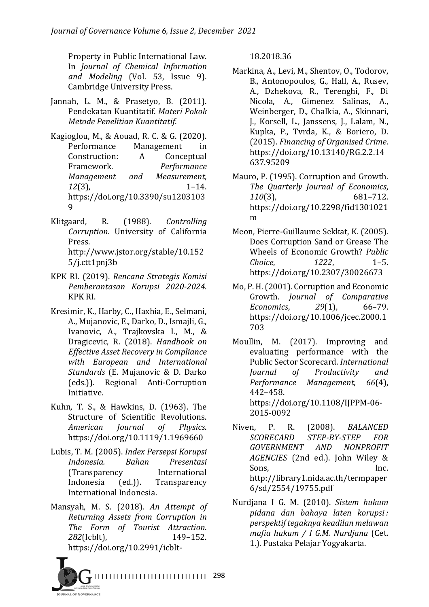Property in Public International Law. In *Journal of Chemical Information and Modeling* (Vol. 53, Issue 9). Cambridge University Press.

- Jannah, L. M., & Prasetyo, B. (2011). Pendekatan Kuantitatif. *Materi Pokok Metode Penelitian Kuantitatif*.
- Kagioglou, M., & Aouad, R. C. & G. (2020). Performance Management in Construction: A Conceptual Framework. *Performance Management and Measurement*, *12*(3), 1–14. https://doi.org/10.3390/su1203103 9
- Klitgaard, R. (1988). *Controlling Corruption*. University of California Press. http://www.jstor.org/stable/10.152 5/j.ctt1pnj3b
- KPK RI. (2019). *Rencana Strategis Komisi Pemberantasan Korupsi 2020-2024*. KPK RI.
- Kresimir, K., Harby, C., Haxhia, E., Selmani, A., Mujanovic, E., Darko, D., Ismajli, G., Ivanovic, A., Trajkovska L, M., & Dragicevic, R. (2018). *Handbook on Effective Asset Recovery in Compliance with European and International Standards* (E. Mujanovic & D. Darko (eds.)). Regional Anti-Corruption Initiative.
- Kuhn, T. S., & Hawkins, D. (1963). The Structure of Scientific Revolutions. *American Journal of Physics*. https://doi.org/10.1119/1.1969660
- Lubis, T. M. (2005). *Index Persepsi Korupsi Indonesia. Bahan Presentasi* (Transparency International Indonesia (ed.)). Transparency International Indonesia.
- Mansyah, M. S. (2018). An Attempt of *Returning Assets from Corruption in The Form of Tourist Attraction*. 282(Icblt). 149-152. https://doi.org/10.2991/icblt-

18.2018.36

- Markina, A., Levi, M., Shentov, O., Todorov, B., Antonopoulos, G., Hall, A., Rusev, A., Dzhekova, R., Terenghi, F., Di Nicola, A., Gimenez Salinas, A., Weinberger, D., Chalkia, A., Skinnari, I., Korsell, L., Janssens, J., Lalam, N., Kupka, P., Tvrda, K., & Boriero, D. (2015). *Financing of Organised Crime*. https://doi.org/10.13140/RG.2.2.14 637.95209
- Mauro, P. (1995). Corruption and Growth. *The Quarterly Journal of Economics*, *110*(3), 681–712. https://doi.org/10.2298/fid1301021 m
- Meon, Pierre-Guillaume Sekkat, K. (2005). Does Corruption Sand or Grease The Wheels of Economic Growth? *Public Choice*, *1222*, 1–5. https://doi.org/10.2307/30026673
- Mo, P. H. (2001). Corruption and Economic Growth. *Journal of Comparative Economics*, *29*(1), 66–79. https://doi.org/10.1006/jcec.2000.1 703
- Moullin, M. (2017). Improving and evaluating performance with the Public Sector Scorecard. *International Journal of Productivity and Performance Management*, *66*(4), 442–458. https://doi.org/10.1108/IJPPM-06- 2015-0092
- Niven, P. R. (2008). *BALANCED SCORECARD STEP-BY-STEP FOR GOVERNMENT AND NONPROFIT*  AGENCIES (2nd ed.). John Wiley & Sons, Inc. http://library1.nida.ac.th/termpaper 6/sd/2554/19755.pdf
- Nurdjana I G. M. (2010). Sistem hukum *pidana dan bahaya laten korupsi : perspektif tegaknya keadilan melawan mafia hukum / I G.M. Nurdjana* (Cet. 1.). Pustaka Pelajar Yogyakarta.

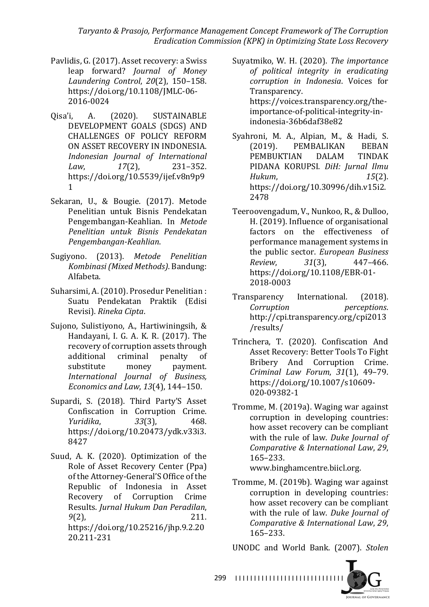*Taryanto & Prasojo, Performance Management Concept Framework of The Corruption Eradication Commission (KPK) in Optimizing State Loss Recovery*

- Pavlidis, G. (2017). Asset recovery: a Swiss leap forward? *Journal of Money Laundering Control*, *20*(2), 150–158. https://doi.org/10.1108/JMLC-06- 2016-0024
- Qisa'i, A. (2020). SUSTAINABLE DEVELOPMENT GOALS (SDGS) AND CHALLENGES OF POLICY REFORM ON ASSET RECOVERY IN INDONESIA. *Indonesian Journal of International Law*, *17*(2), 231–352. https://doi.org/10.5539/ijef.v8n9p9 1
- Sekaran, U., & Bougie. (2017). Metode Penelitian untuk Bisnis Pendekatan Pengembangan-Keahlian. In *Metode Penelitian untuk Bisnis Pendekatan Pengembangan-Keahlian*.
- Sugiyono. (2013). *Metode Penelitian Kombinasi (Mixed Methods)*. Bandung: Alfabeta.
- Suharsimi, A. (2010). Prosedur Penelitian : Suatu Pendekatan Praktik (Edisi Revisi). *Rineka Cipta*.
- Sujono, Sulistiyono, A., Hartiwiningsih, & Handayani, I. G. A. K. R. (2017). The recovery of corruption assets through additional criminal penalty of substitute money payment. *International Journal of Business, Economics and Law, 13*(4), 144-150.
- Supardi, S. (2018). Third Party'S Asset Confiscation in Corruption Crime. *Yuridika*, *33*(3), 468. https://doi.org/10.20473/ydk.v33i3. 8427
- Suud, A. K. (2020). Optimization of the Role of Asset Recovery Center (Ppa) of the Attorney-General'S Office of the Republic of Indonesia in Asset Recovery of Corruption Crime Results. *Jurnal Hukum Dan Peradilan*, *9*(2), 211. https://doi.org/10.25216/jhp.9.2.20 20.211-231

Suyatmiko, W. H. (2020). *The importance of political integrity in eradicating corruption in Indonesia*. Voices for Transparency. https://voices.transparency.org/theimportance-of-political-integrity-inindonesia-36b6daf38e82

- Syahroni, M. A., Alpian, M., & Hadi, S. (2019). PEMBALIKAN BEBAN PEMBUKTIAN DALAM TINDAK PIDANA KORUPSI. *DiH: Jurnal Ilmu Hukum*, *15*(2). https://doi.org/10.30996/dih.v15i2. 2478
- Teeroovengadum, V., Nunkoo, R., & Dulloo, H. (2019). Influence of organisational factors on the effectiveness of performance management systems in the public sector. *European Business Review*, *31*(3), 447–466. https://doi.org/10.1108/EBR-01- 2018-0003
- Transparency International. (2018). *Corruption perceptions*. http://cpi.transparency.org/cpi2013 /results/
- Trinchera, T. (2020). Confiscation And Asset Recovery: Better Tools To Fight Bribery And Corruption Crime. *Criminal Law Forum*, *31*(1), 49–79. https://doi.org/10.1007/s10609- 020-09382-1
- Tromme, M. (2019a). Waging war against corruption in developing countries: how asset recovery can be compliant with the rule of law. *Duke Journal of Comparative & International Law*, *29*, 165–233.

www.binghamcentre.biicl.org.

Tromme, M. (2019b). Waging war against corruption in developing countries: how asset recovery can be compliant with the rule of law. *Duke Journal of Comparative & International Law*, *29*, 165–233.

UNODC and World Bank. (2007). *Stolen*